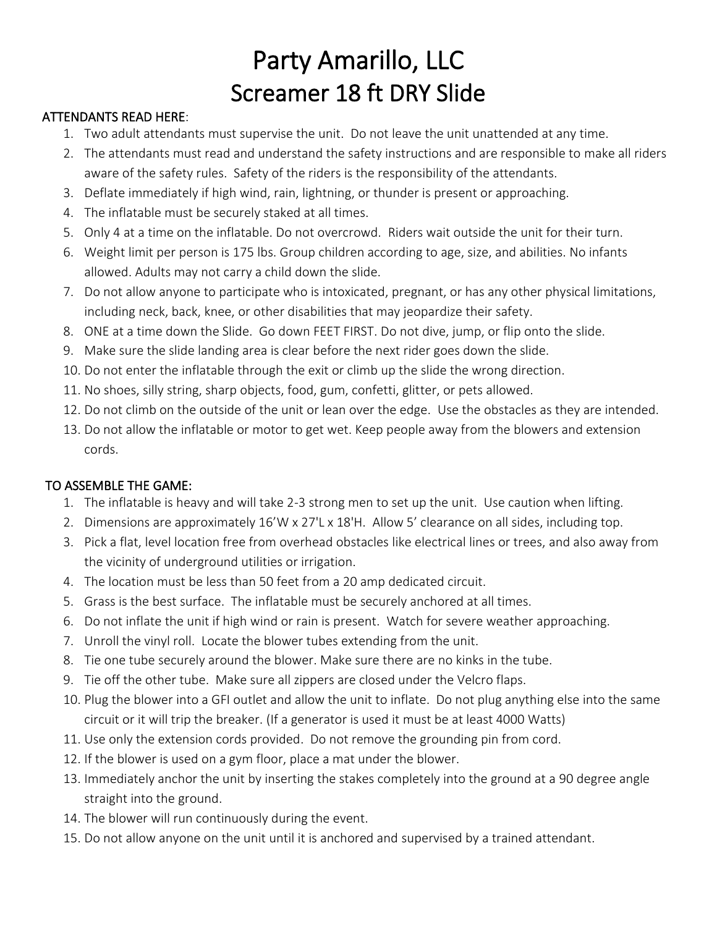## Party Amarillo, LLC Screamer 18 ft DRY Slide

## ATTENDANTS READ HERE:

- 1. Two adult attendants must supervise the unit. Do not leave the unit unattended at any time.
- 2. The attendants must read and understand the safety instructions and are responsible to make all riders aware of the safety rules. Safety of the riders is the responsibility of the attendants.
- 3. Deflate immediately if high wind, rain, lightning, or thunder is present or approaching.
- 4. The inflatable must be securely staked at all times.
- 5. Only 4 at a time on the inflatable. Do not overcrowd. Riders wait outside the unit for their turn.
- 6. Weight limit per person is 175 lbs. Group children according to age, size, and abilities. No infants allowed. Adults may not carry a child down the slide.
- 7. Do not allow anyone to participate who is intoxicated, pregnant, or has any other physical limitations, including neck, back, knee, or other disabilities that may jeopardize their safety.
- 8. ONE at a time down the Slide. Go down FEET FIRST. Do not dive, jump, or flip onto the slide.
- 9. Make sure the slide landing area is clear before the next rider goes down the slide.
- 10. Do not enter the inflatable through the exit or climb up the slide the wrong direction.
- 11. No shoes, silly string, sharp objects, food, gum, confetti, glitter, or pets allowed.
- 12. Do not climb on the outside of the unit or lean over the edge. Use the obstacles as they are intended.
- 13. Do not allow the inflatable or motor to get wet. Keep people away from the blowers and extension cords.

## TO ASSEMBLE THE GAME:

- 1. The inflatable is heavy and will take 2-3 strong men to set up the unit. Use caution when lifting.
- 2. Dimensions are approximately 16'W x 27'L x 18'H. Allow 5' clearance on all sides, including top.
- 3. Pick a flat, level location free from overhead obstacles like electrical lines or trees, and also away from the vicinity of underground utilities or irrigation.
- 4. The location must be less than 50 feet from a 20 amp dedicated circuit.
- 5. Grass is the best surface. The inflatable must be securely anchored at all times.
- 6. Do not inflate the unit if high wind or rain is present. Watch for severe weather approaching.
- 7. Unroll the vinyl roll. Locate the blower tubes extending from the unit.
- 8. Tie one tube securely around the blower. Make sure there are no kinks in the tube.
- 9. Tie off the other tube. Make sure all zippers are closed under the Velcro flaps.
- 10. Plug the blower into a GFI outlet and allow the unit to inflate. Do not plug anything else into the same circuit or it will trip the breaker. (If a generator is used it must be at least 4000 Watts)
- 11. Use only the extension cords provided. Do not remove the grounding pin from cord.
- 12. If the blower is used on a gym floor, place a mat under the blower.
- 13. Immediately anchor the unit by inserting the stakes completely into the ground at a 90 degree angle straight into the ground.
- 14. The blower will run continuously during the event.
- 15. Do not allow anyone on the unit until it is anchored and supervised by a trained attendant.